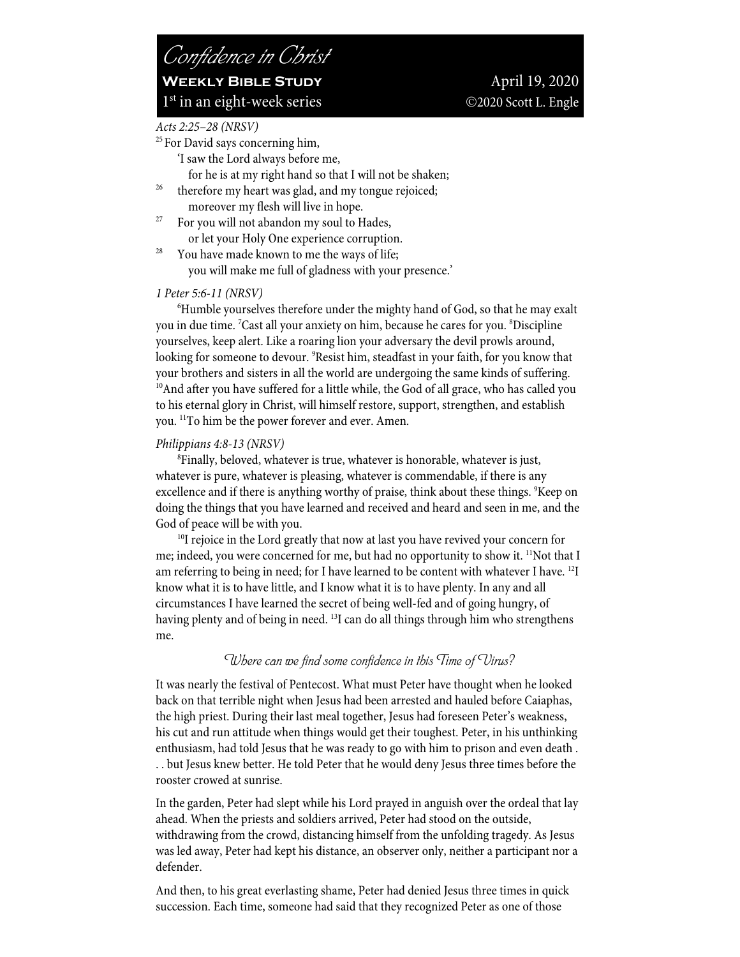## *Acts 2:25–28 (NRSV)*

- <sup>25</sup> For David says concerning him,
	- 'I saw the Lord always before me,
- for he is at my right hand so that I will not be shaken; therefore my heart was glad, and my tongue rejoiced;
- 
- moreover my flesh will live in hope.<br><sup>27</sup> For you will not abandon my soul to Hades,
- or let your Holy One experience corruption.<br><sup>28</sup> You have made known to me the ways of life; you will make me full of gladness with your presence.'

### *1 Peter 5:6-11 (NRSV)*

6 Humble yourselves therefore under the mighty hand of God, so that he may exalt you in due time. 7 Cast all your anxiety on him, because he cares for you. 8 Discipline yourselves, keep alert. Like a roaring lion your adversary the devil prowls around, looking for someone to devour. 9 Resist him, steadfast in your faith, for you know that your brothers and sisters in all the world are undergoing the same kinds of suffering. <sup>10</sup>And after you have suffered for a little while, the God of all grace, who has called you to his eternal glory in Christ, will himself restore, support, strengthen, and establish you. 11To him be the power forever and ever. Amen.

### *Philippians 4:8-13 (NRSV)*

8 Finally, beloved, whatever is true, whatever is honorable, whatever is just, whatever is pure, whatever is pleasing, whatever is commendable, if there is any excellence and if there is anything worthy of praise, think about these things. <sup>9</sup>Keep on doing the things that you have learned and received and heard and seen in me, and the God of peace will be with you.

 $10I$  rejoice in the Lord greatly that now at last you have revived your concern for me; indeed, you were concerned for me, but had no opportunity to show it. <sup>11</sup>Not that I am referring to being in need; for I have learned to be content with whatever I have.<sup>12</sup>I know what it is to have little, and I know what it is to have plenty. In any and all circumstances I have learned the secret of being well-fed and of going hungry, of having plenty and of being in need. <sup>13</sup>I can do all things through him who strengthens me.

## *Where can we find some confidence in this Time of Virus?*

It was nearly the festival of Pentecost. What must Peter have thought when he looked back on that terrible night when Jesus had been arrested and hauled before Caiaphas, the high priest. During their last meal together, Jesus had foreseen Peter's weakness, his cut and run attitude when things would get their toughest. Peter, in his unthinking enthusiasm, had told Jesus that he was ready to go with him to prison and even death . . . but Jesus knew better. He told Peter that he would deny Jesus three times before the rooster crowed at sunrise.

In the garden, Peter had slept while his Lord prayed in anguish over the ordeal that lay ahead. When the priests and soldiers arrived, Peter had stood on the outside, withdrawing from the crowd, distancing himself from the unfolding tragedy. As Jesus was led away, Peter had kept his distance, an observer only, neither a participant nor a defender.

And then, to his great everlasting shame, Peter had denied Jesus three times in quick succession. Each time, someone had said that they recognized Peter as one of those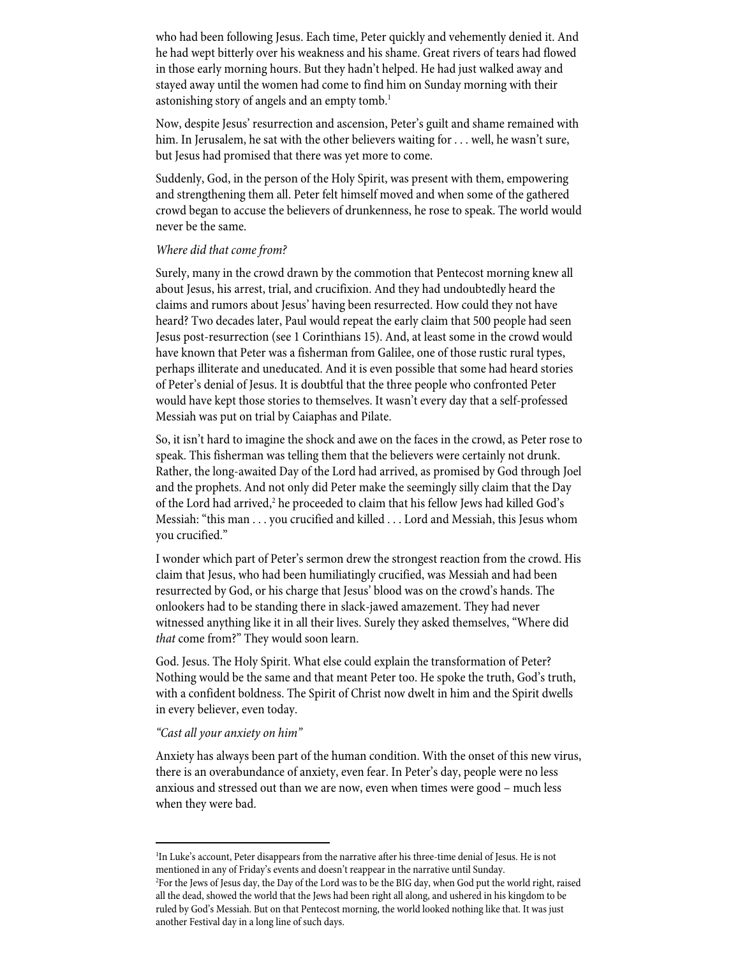who had been following Jesus. Each time, Peter quickly and vehemently denied it. And he had wept bitterly over his weakness and his shame. Great rivers of tears had flowed in those early morning hours. But they hadn't helped. He had just walked away and stayed away until the women had come to find him on Sunday morning with their astonishing story of angels and an empty tomb.<sup>1</sup>

Now, despite Jesus' resurrection and ascension, Peter's guilt and shame remained with him. In Jerusalem, he sat with the other believers waiting for . . . well, he wasn't sure, but Jesus had promised that there was yet more to come.

Suddenly, God, in the person of the Holy Spirit, was present with them, empowering and strengthening them all. Peter felt himself moved and when some of the gathered crowd began to accuse the believers of drunkenness, he rose to speak. The world would never be the same.

## *Where did that come from?*

Surely, many in the crowd drawn by the commotion that Pentecost morning knew all about Jesus, his arrest, trial, and crucifixion. And they had undoubtedly heard the claims and rumors about Jesus' having been resurrected. How could they not have heard? Two decades later, Paul would repeat the early claim that 500 people had seen Jesus post-resurrection (see 1 Corinthians 15). And, at least some in the crowd would have known that Peter was a fisherman from Galilee, one of those rustic rural types, perhaps illiterate and uneducated. And it is even possible that some had heard stories of Peter's denial of Jesus. It is doubtful that the three people who confronted Peter would have kept those stories to themselves. It wasn't every day that a self-professed Messiah was put on trial by Caiaphas and Pilate.

So, it isn't hard to imagine the shock and awe on the faces in the crowd, as Peter rose to speak. This fisherman was telling them that the believers were certainly not drunk. Rather, the long-awaited Day of the Lord had arrived, as promised by God through Joel and the prophets. And not only did Peter make the seemingly silly claim that the Day of the Lord had arrived,<sup>2</sup> he proceeded to claim that his fellow Jews had killed God's Messiah: "this man . . . you crucified and killed . . . Lord and Messiah, this Jesus whom you crucified."

I wonder which part of Peter's sermon drew the strongest reaction from the crowd. His claim that Jesus, who had been humiliatingly crucified, was Messiah and had been resurrected by God, or his charge that Jesus' blood was on the crowd's hands. The onlookers had to be standing there in slack-jawed amazement. They had never witnessed anything like it in all their lives. Surely they asked themselves, "Where did *that* come from?" They would soon learn.

God. Jesus. The Holy Spirit. What else could explain the transformation of Peter? Nothing would be the same and that meant Peter too. He spoke the truth, God's truth, with a confident boldness. The Spirit of Christ now dwelt in him and the Spirit dwells in every believer, even today.

### *"Cast all your anxiety on him"*

Anxiety has always been part of the human condition. With the onset of this new virus, there is an overabundance of anxiety, even fear. In Peter's day, people were no less anxious and stressed out than we are now, even when times were good – much less when they were bad.

<sup>&</sup>lt;sup>1</sup>In Luke's account, Peter disappears from the narrative after his three-time denial of Jesus. He is not mentioned in any of Friday's events and doesn't reappear in the narrative until Sunday. 2 For the Jews of Jesus day, the Day of the Lord was to be the BIG day, when God put the world right, raised all the dead, showed the world that the Jews had been right all along, and ushered in his kingdom to be ruled by God's Messiah. But on that Pentecost morning, the world looked nothing like that. It was just another Festival day in a long line of such days.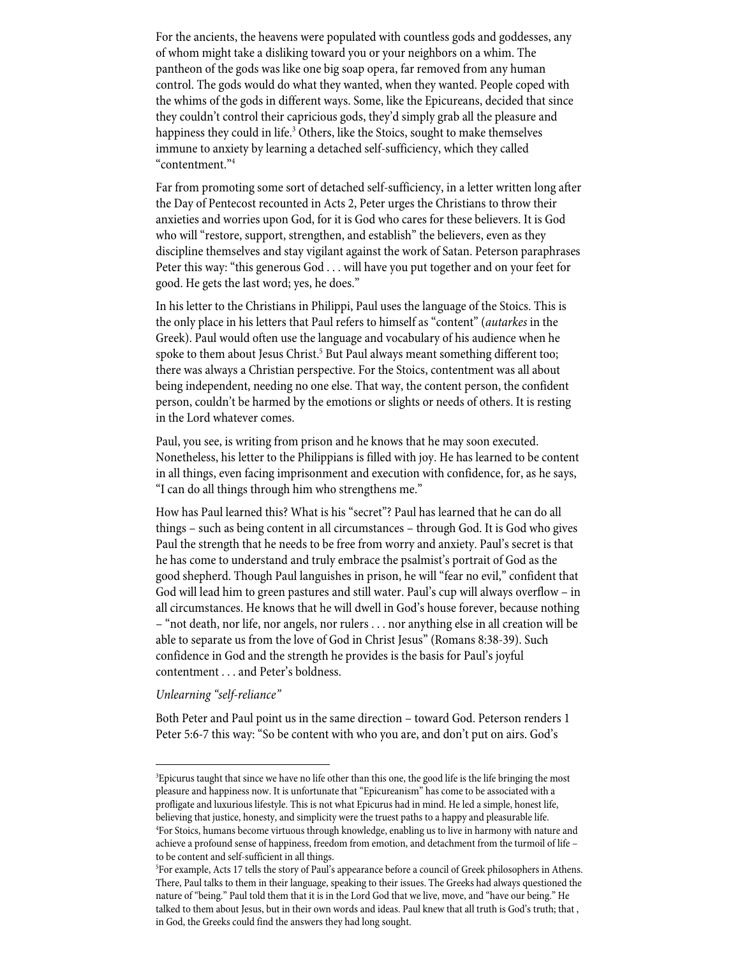For the ancients, the heavens were populated with countless gods and goddesses, any of whom might take a disliking toward you or your neighbors on a whim. The pantheon of the gods was like one big soap opera, far removed from any human control. The gods would do what they wanted, when they wanted. People coped with the whims of the gods in different ways. Some, like the Epicureans, decided that since they couldn't control their capricious gods, they'd simply grab all the pleasure and happiness they could in life.<sup>3</sup> Others, like the Stoics, sought to make themselves immune to anxiety by learning a detached self-sufficiency, which they called "contentment."4

Far from promoting some sort of detached self-sufficiency, in a letter written long after the Day of Pentecost recounted in Acts 2, Peter urges the Christians to throw their anxieties and worries upon God, for it is God who cares for these believers. It is God who will "restore, support, strengthen, and establish" the believers, even as they discipline themselves and stay vigilant against the work of Satan. Peterson paraphrases Peter this way: "this generous God . . . will have you put together and on your feet for good. He gets the last word; yes, he does."

In his letter to the Christians in Philippi, Paul uses the language of the Stoics. This is the only place in his letters that Paul refers to himself as "content" (*autarkes* in the Greek). Paul would often use the language and vocabulary of his audience when he spoke to them about Jesus Christ.<sup>5</sup> But Paul always meant something different too; there was always a Christian perspective. For the Stoics, contentment was all about being independent, needing no one else. That way, the content person, the confident person, couldn't be harmed by the emotions or slights or needs of others. It is resting in the Lord whatever comes.

Paul, you see, is writing from prison and he knows that he may soon executed. Nonetheless, his letter to the Philippians is filled with joy. He has learned to be content in all things, even facing imprisonment and execution with confidence, for, as he says, "I can do all things through him who strengthens me."

How has Paul learned this? What is his "secret"? Paul has learned that he can do all things – such as being content in all circumstances – through God. It is God who gives Paul the strength that he needs to be free from worry and anxiety. Paul's secret is that he has come to understand and truly embrace the psalmist's portrait of God as the good shepherd. Though Paul languishes in prison, he will "fear no evil," confident that God will lead him to green pastures and still water. Paul's cup will always overflow – in all circumstances. He knows that he will dwell in God's house forever, because nothing – "not death, nor life, nor angels, nor rulers . . . nor anything else in all creation will be able to separate us from the love of God in Christ Jesus" (Romans 8:38-39). Such confidence in God and the strength he provides is the basis for Paul's joyful contentment . . . and Peter's boldness.

### *Unlearning "self-reliance"*

Both Peter and Paul point us in the same direction – toward God. Peterson renders 1 Peter 5:6-7 this way: "So be content with who you are, and don't put on airs. God's

<sup>3</sup> Epicurus taught that since we have no life other than this one, the good life is the life bringing the most pleasure and happiness now. It is unfortunate that "Epicureanism" has come to be associated with a profligate and luxurious lifestyle. This is not what Epicurus had in mind. He led a simple, honest life, believing that justice, honesty, and simplicity were the truest paths to a happy and pleasurable life. 4 For Stoics, humans become virtuous through knowledge, enabling us to live in harmony with nature and achieve a profound sense of happiness, freedom from emotion, and detachment from the turmoil of life – to be content and self-sufficient in all things.

<sup>5</sup> For example, Acts 17 tells the story of Paul's appearance before a council of Greek philosophers in Athens. There, Paul talks to them in their language, speaking to their issues. The Greeks had always questioned the nature of "being." Paul told them that it is in the Lord God that we live, move, and "have our being." He talked to them about Jesus, but in their own words and ideas. Paul knew that all truth is God's truth; that , in God, the Greeks could find the answers they had long sought.